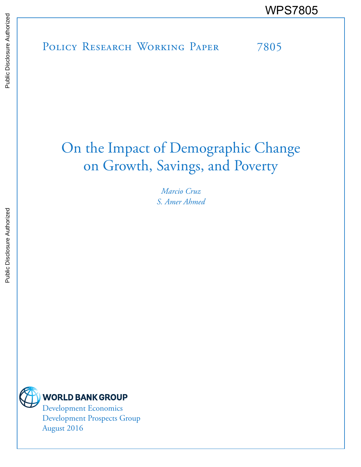POLICY RESEARCH WORKING PAPER 7805 WPS7805

# On the Impact of Demographic Change on Growth, Savings, and Poverty

*Marcio Cruz S. Amer Ahmed* 



Development Economics Development Prospects Group August 2016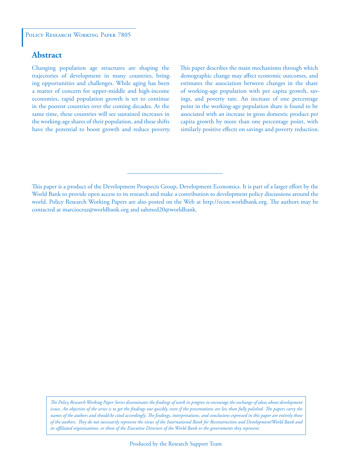# **Abstract**

Changing population age structures are shaping the trajectories of development in many countries, bringing opportunities and challenges. While aging has been a matter of concern for upper-middle and high-income economies, rapid population growth is set to continue in the poorest countries over the coming decades. At the same time, these countries will see sustained increases in the working-age shares of their population, and these shifts have the potential to boost growth and reduce poverty. This paper describes the main mechanisms through which demographic change may affect economic outcomes, and estimates the association between changes in the share of working-age population with per capita growth, savings, and poverty rate. An increase of one percentage point in the working-age population share is found to be associated with an increase in gross domestic product per capita growth by more than one percentage point, with similarly positive effects on savings and poverty reduction.

This paper is a product of the Development Prospects Group, Development Economics. It is part of a larger effort by the World Bank to provide open access to its research and make a contribution to development policy discussions around the world. Policy Research Working Papers are also posted on the Web at http://econ.worldbank.org. The authors may be contacted at marciocruz@worldbank.org and sahmed20@worldbank.

*The Policy Research Working Paper Series disseminates the findings of work in progress to encourage the exchange of ideas about development*  issues. An objective of the series is to get the findings out quickly, even if the presentations are less than fully polished. The papers carry the *names of the authors and should be cited accordingly. The findings, interpretations, and conclusions expressed in this paper are entirely those of the authors. They do not necessarily represent the views of the International Bank for Reconstruction and Development/World Bank and its affiliated organizations, or those of the Executive Directors of the World Bank or the governments they represent.*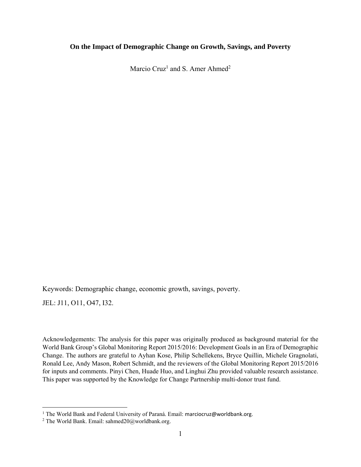#### **On the Impact of Demographic Change on Growth, Savings, and Poverty**

Marcio Cruz<sup>1</sup> and S. Amer Ahmed<sup>2</sup>

Keywords: Demographic change, economic growth, savings, poverty.

JEL: J11, O11, O47, I32.

Acknowledgements: The analysis for this paper was originally produced as background material for the World Bank Group's Global Monitoring Report 2015/2016: Development Goals in an Era of Demographic Change. The authors are grateful to Ayhan Kose, Philip Schellekens, Bryce Quillin, Michele Gragnolati, Ronald Lee, Andy Mason, Robert Schmidt, and the reviewers of the Global Monitoring Report 2015/2016 for inputs and comments. Pinyi Chen, Huade Huo, and Linghui Zhu provided valuable research assistance. This paper was supported by the Knowledge for Change Partnership multi-donor trust fund.

<sup>&</sup>lt;sup>1</sup> The World Bank and Federal University of Paraná. Email: marciocruz@worldbank.org.<br><sup>2</sup> The World Bank, Email: sahmed20@worldbank.org

<sup>&</sup>lt;sup>2</sup> The World Bank. Email: sahmed $20@$ worldbank.org.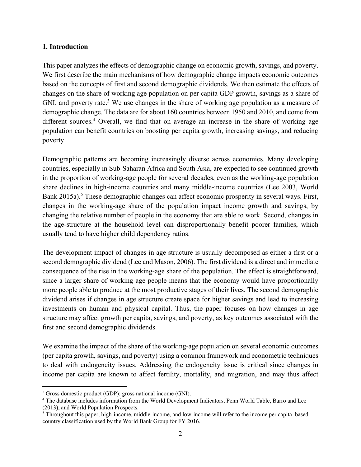## **1. Introduction**

This paper analyzes the effects of demographic change on economic growth, savings, and poverty. We first describe the main mechanisms of how demographic change impacts economic outcomes based on the concepts of first and second demographic dividends. We then estimate the effects of changes on the share of working age population on per capita GDP growth, savings as a share of GNI, and poverty rate.<sup>3</sup> We use changes in the share of working age population as a measure of demographic change. The data are for about 160 countries between 1950 and 2010, and come from different sources.<sup>4</sup> Overall, we find that on average an increase in the share of working age population can benefit countries on boosting per capita growth, increasing savings, and reducing poverty.

Demographic patterns are becoming increasingly diverse across economies. Many developing countries, especially in Sub-Saharan Africa and South Asia, are expected to see continued growth in the proportion of working-age people for several decades, even as the working-age population share declines in high-income countries and many middle-income countries (Lee 2003, World Bank 2015a).<sup>5</sup> These demographic changes can affect economic prosperity in several ways. First, changes in the working-age share of the population impact income growth and savings, by changing the relative number of people in the economy that are able to work. Second, changes in the age-structure at the household level can disproportionally benefit poorer families, which usually tend to have higher child dependency ratios.

The development impact of changes in age structure is usually decomposed as either a first or a second demographic dividend (Lee and Mason, 2006). The first dividend is a direct and immediate consequence of the rise in the working-age share of the population. The effect is straightforward, since a larger share of working age people means that the economy would have proportionally more people able to produce at the most productive stages of their lives. The second demographic dividend arises if changes in age structure create space for higher savings and lead to increasing investments on human and physical capital. Thus, the paper focuses on how changes in age structure may affect growth per capita, savings, and poverty, as key outcomes associated with the first and second demographic dividends.

We examine the impact of the share of the working-age population on several economic outcomes (per capita growth, savings, and poverty) using a common framework and econometric techniques to deal with endogeneity issues. Addressing the endogeneity issue is critical since changes in income per capita are known to affect fertility, mortality, and migration, and may thus affect

 $\overline{a}$ 

<sup>3</sup> Gross domestic product (GDP); gross national income (GNI).

<sup>4</sup> The database includes information from the World Development Indicators, Penn World Table, Barro and Lee (2013), and World Population Prospects.

<sup>&</sup>lt;sup>5</sup> Throughout this paper, high-income, middle-income, and low-income will refer to the income per capita–based country classification used by the World Bank Group for FY 2016.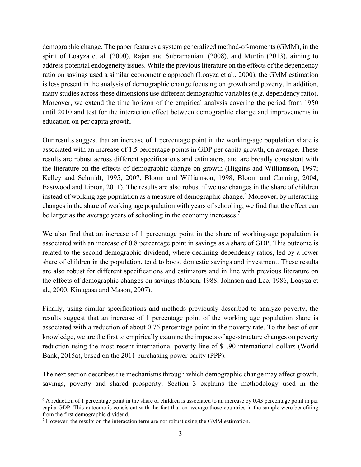demographic change. The paper features a system generalized method-of-moments (GMM), in the spirit of Loayza et al. (2000), Rajan and Subramaniam (2008), and Murtin (2013), aiming to address potential endogeneity issues. While the previous literature on the effects of the dependency ratio on savings used a similar econometric approach (Loayza et al., 2000), the GMM estimation is less present in the analysis of demographic change focusing on growth and poverty. In addition, many studies across these dimensions use different demographic variables (e.g. dependency ratio). Moreover, we extend the time horizon of the empirical analysis covering the period from 1950 until 2010 and test for the interaction effect between demographic change and improvements in education on per capita growth.

Our results suggest that an increase of 1 percentage point in the working-age population share is associated with an increase of 1.5 percentage points in GDP per capita growth, on average. These results are robust across different specifications and estimators, and are broadly consistent with the literature on the effects of demographic change on growth (Higgins and Williamson, 1997; Kelley and Schmidt, 1995, 2007, Bloom and Williamson, 1998; Bloom and Canning, 2004, Eastwood and Lipton, 2011). The results are also robust if we use changes in the share of children instead of working age population as a measure of demographic change.<sup>6</sup> Moreover, by interacting changes in the share of working age population with years of schooling, we find that the effect can be larger as the average years of schooling in the economy increases.<sup>7</sup>

We also find that an increase of 1 percentage point in the share of working-age population is associated with an increase of 0.8 percentage point in savings as a share of GDP. This outcome is related to the second demographic dividend, where declining dependency ratios, led by a lower share of children in the population, tend to boost domestic savings and investment. These results are also robust for different specifications and estimators and in line with previous literature on the effects of demographic changes on savings (Mason, 1988; Johnson and Lee, 1986, Loayza et al., 2000, Kinugasa and Mason, 2007).

Finally, using similar specifications and methods previously described to analyze poverty, the results suggest that an increase of 1 percentage point of the working age population share is associated with a reduction of about 0.76 percentage point in the poverty rate. To the best of our knowledge, we are the first to empirically examine the impacts of age-structure changes on poverty reduction using the most recent international poverty line of \$1.90 international dollars (World Bank, 2015a), based on the 2011 purchasing power parity (PPP).

The next section describes the mechanisms through which demographic change may affect growth, savings, poverty and shared prosperity. Section 3 explains the methodology used in the

<u>.</u>

<sup>6</sup> A reduction of 1 percentage point in the share of children is associated to an increase by 0.43 percentage point in per capita GDP. This outcome is consistent with the fact that on average those countries in the sample were benefiting from the first demographic dividend.

 $<sup>7</sup>$  However, the results on the interaction term are not robust using the GMM estimation.</sup>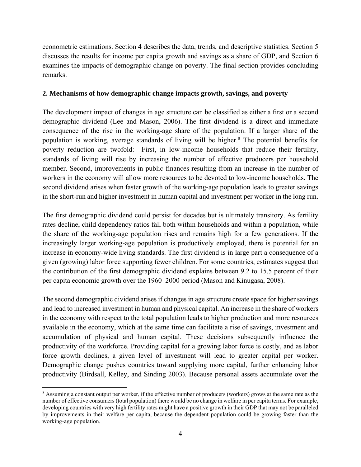econometric estimations. Section 4 describes the data, trends, and descriptive statistics. Section 5 discusses the results for income per capita growth and savings as a share of GDP, and Section 6 examines the impacts of demographic change on poverty. The final section provides concluding remarks.

#### **2. Mechanisms of how demographic change impacts growth, savings, and poverty**

The development impact of changes in age structure can be classified as either a first or a second demographic dividend (Lee and Mason, 2006). The first dividend is a direct and immediate consequence of the rise in the working-age share of the population. If a larger share of the population is working, average standards of living will be higher.<sup>8</sup> The potential benefits for poverty reduction are twofold: First, in low-income households that reduce their fertility, standards of living will rise by increasing the number of effective producers per household member. Second, improvements in public finances resulting from an increase in the number of workers in the economy will allow more resources to be devoted to low-income households. The second dividend arises when faster growth of the working-age population leads to greater savings in the short-run and higher investment in human capital and investment per worker in the long run.

The first demographic dividend could persist for decades but is ultimately transitory. As fertility rates decline, child dependency ratios fall both within households and within a population, while the share of the working-age population rises and remains high for a few generations. If the increasingly larger working-age population is productively employed, there is potential for an increase in economy-wide living standards. The first dividend is in large part a consequence of a given (growing) labor force supporting fewer children. For some countries, estimates suggest that the contribution of the first demographic dividend explains between 9.2 to 15.5 percent of their per capita economic growth over the 1960–2000 period (Mason and Kinugasa, 2008).

The second demographic dividend arises if changes in age structure create space for higher savings and lead to increased investment in human and physical capital. An increase in the share of workers in the economy with respect to the total population leads to higher production and more resources available in the economy, which at the same time can facilitate a rise of savings, investment and accumulation of physical and human capital. These decisions subsequently influence the productivity of the workforce. Providing capital for a growing labor force is costly, and as labor force growth declines, a given level of investment will lead to greater capital per worker. Demographic change pushes countries toward supplying more capital, further enhancing labor productivity (Birdsall, Kelley, and Sinding 2003). Because personal assets accumulate over the

 $\overline{a}$ 

<sup>&</sup>lt;sup>8</sup> Assuming a constant output per worker, if the effective number of producers (workers) grows at the same rate as the number of effective consumers (total population) there would be no change in welfare in per capita terms. For example, developing countries with very high fertility rates might have a positive growth in their GDP that may not be paralleled by improvements in their welfare per capita, because the dependent population could be growing faster than the working-age population.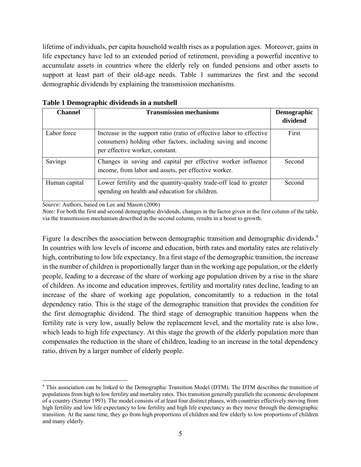lifetime of individuals, per capita household wealth rises as a population ages. Moreover, gains in life expectancy have led to an extended period of retirement, providing a powerful incentive to accumulate assets in countries where the elderly rely on funded pensions and other assets to support at least part of their old-age needs. Table 1 summarizes the first and the second demographic dividends by explaining the transmission mechanisms.

| <b>Channel</b> | <b>Transmission mechanisms</b>                                                                                                                                           | Demographic<br>dividend |
|----------------|--------------------------------------------------------------------------------------------------------------------------------------------------------------------------|-------------------------|
|                |                                                                                                                                                                          |                         |
| Labor force    | Increase in the support ratio (ratio of effective labor to effective<br>consumers) holding other factors, including saving and income<br>per effective worker, constant. | First                   |
| Savings        | Changes in saving and capital per effective worker influence<br>income, from labor and assets, per effective worker.                                                     | Second                  |
| Human capital  | Lower fertility and the quantity-quality trade-off lead to greater<br>spending on health and education for children.                                                     | Second                  |

**Table 1 Demographic dividends in a nutshell** 

*Source:* Authors, based on Lee and Mason (2006)

*Note:* For both the first and second demographic dividends, changes in the factor given in the first column of the table, via the transmission mechanism described in the second column, results in a boost to growth.

Figure 1a describes the association between demographic transition and demographic dividends.<sup>9</sup> In countries with low levels of income and education, birth rates and mortality rates are relatively high, contributing to low life expectancy. In a first stage of the demographic transition, the increase in the number of children is proportionally larger than in the working age population, or the elderly people, leading to a decrease of the share of working age population driven by a rise in the share of children. As income and education improves, fertility and mortality rates decline, leading to an increase of the share of working age population, concomitantly to a reduction in the total dependency ratio. This is the stage of the demographic transition that provides the condition for the first demographic dividend. The third stage of demographic transition happens when the fertility rate is very low, usually below the replacement level, and the mortality rate is also low, which leads to high life expectancy. At this stage the growth of the elderly population more than compensates the reduction in the share of children, leading to an increase in the total dependency ratio, driven by a larger number of elderly people.

<sup>1</sup> <sup>9</sup> This association can be linked to the Demographic Transition Model (DTM). The DTM describes the transition of populations from high to low fertility and mortality rates. This transition generally parallels the economic development of a country (Szreter 1993). The model consists of at least four distinct phases, with countries effectively moving from high fertility and low life expectancy to low fertility and high life expectancy as they move through the demographic transition. At the same time, they go from high proportions of children and few elderly to low proportions of children and many elderly.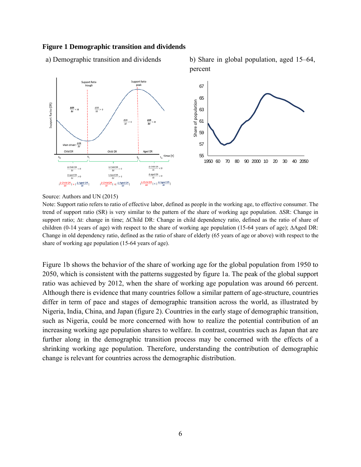#### **Figure 1 Demographic transition and dividends**





Source: Authors and UN (2015)

Note: Support ratio refers to ratio of effective labor, defined as people in the working age, to effective consumer. The trend of support ratio (SR) is very similar to the pattern of the share of working age population. ∆SR: Change in support ratio; ∆t: change in time; ∆Child DR: Change in child dependency ratio, defined as the ratio of share of children (0-14 years of age) with respect to the share of working age population (15-64 years of age); ∆Aged DR: Change in old dependency ratio, defined as the ratio of share of elderly (65 years of age or above) with respect to the share of working age population (15-64 years of age).

Figure 1b shows the behavior of the share of working age for the global population from 1950 to 2050, which is consistent with the patterns suggested by figure 1a. The peak of the global support ratio was achieved by 2012, when the share of working age population was around 66 percent. Although there is evidence that many countries follow a similar pattern of age-structure, countries differ in term of pace and stages of demographic transition across the world, as illustrated by Nigeria, India, China, and Japan (figure 2). Countries in the early stage of demographic transition, such as Nigeria, could be more concerned with how to realize the potential contribution of an increasing working age population shares to welfare. In contrast, countries such as Japan that are further along in the demographic transition process may be concerned with the effects of a shrinking working age population. Therefore, understanding the contribution of demographic change is relevant for countries across the demographic distribution.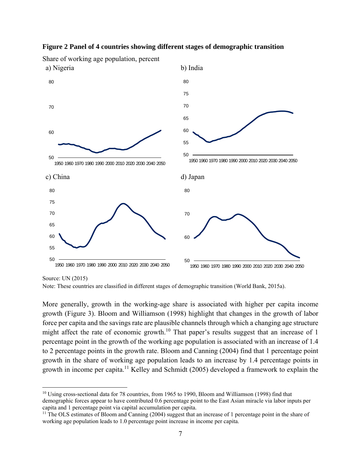

#### **Figure 2 Panel of 4 countries showing different stages of demographic transition**

Source: UN (2015)

1

More generally, growth in the working-age share is associated with higher per capita income growth (Figure 3). Bloom and Williamson (1998) highlight that changes in the growth of labor force per capita and the savings rate are plausible channels through which a changing age structure might affect the rate of economic growth.<sup>10</sup> That paper's results suggest that an increase of 1 percentage point in the growth of the working age population is associated with an increase of 1.4 to 2 percentage points in the growth rate. Bloom and Canning (2004) find that 1 percentage point growth in the share of working age population leads to an increase by 1.4 percentage points in growth in income per capita.<sup>11</sup> Kelley and Schmidt (2005) developed a framework to explain the

Note: These countries are classified in different stages of demographic transition (World Bank, 2015a).

<sup>&</sup>lt;sup>10</sup> Using cross-sectional data for 78 countries, from 1965 to 1990, Bloom and Williamson (1998) find that demographic forces appear to have contributed 0.6 percentage point to the East Asian miracle via labor inputs per capita and 1 percentage point via capital accumulation per capita.

<sup>&</sup>lt;sup>11</sup> The OLS estimates of Bloom and Canning (2004) suggest that an increase of 1 percentage point in the share of working age population leads to 1.0 percentage point increase in income per capita.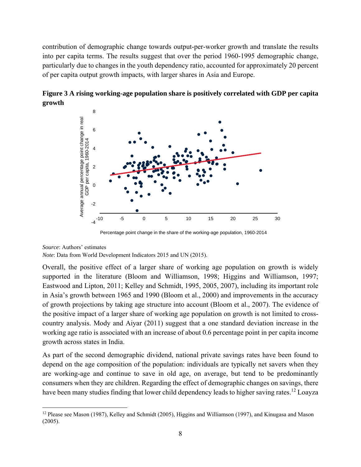contribution of demographic change towards output-per-worker growth and translate the results into per capita terms. The results suggest that over the period 1960-1995 demographic change, particularly due to changes in the youth dependency ratio, accounted for approximately 20 percent of per capita output growth impacts, with larger shares in Asia and Europe.



**Figure 3 A rising working-age population share is positively correlated with GDP per capita growth** 

#### *Source*: Authors' estimates

1

*Note*: Data from World Development Indicators 2015 and UN (2015).

Overall, the positive effect of a larger share of working age population on growth is widely supported in the literature (Bloom and Williamson, 1998; Higgins and Williamson, 1997; Eastwood and Lipton, 2011; Kelley and Schmidt, 1995, 2005, 2007), including its important role in Asia's growth between 1965 and 1990 (Bloom et al., 2000) and improvements in the accuracy of growth projections by taking age structure into account (Bloom et al., 2007). The evidence of the positive impact of a larger share of working age population on growth is not limited to crosscountry analysis. Mody and Aiyar (2011) suggest that a one standard deviation increase in the working age ratio is associated with an increase of about 0.6 percentage point in per capita income growth across states in India.

As part of the second demographic dividend, national private savings rates have been found to depend on the age composition of the population: individuals are typically net savers when they are working-age and continue to save in old age, on average, but tend to be predominantly consumers when they are children. Regarding the effect of demographic changes on savings, there have been many studies finding that lower child dependency leads to higher saving rates.<sup>12</sup> Loayza

Percentage point change in the share of the working-age population, 1960-2014

<sup>&</sup>lt;sup>12</sup> Please see Mason (1987), Kelley and Schmidt (2005), Higgins and Williamson (1997), and Kinugasa and Mason (2005).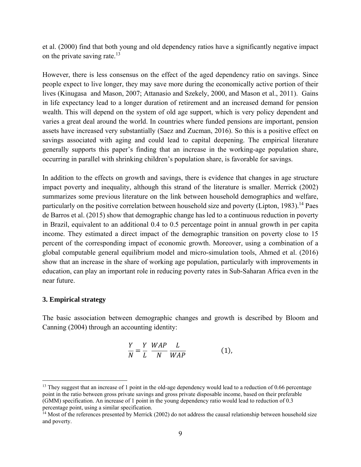et al. (2000) find that both young and old dependency ratios have a significantly negative impact on the private saving rate.<sup>13</sup>

However, there is less consensus on the effect of the aged dependency ratio on savings. Since people expect to live longer, they may save more during the economically active portion of their lives (Kinugasa and Mason, 2007; Attanasio and Szekely, 2000, and Mason et al., 2011). Gains in life expectancy lead to a longer duration of retirement and an increased demand for pension wealth. This will depend on the system of old age support, which is very policy dependent and varies a great deal around the world. In countries where funded pensions are important, pension assets have increased very substantially (Saez and Zucman, 2016). So this is a positive effect on savings associated with aging and could lead to capital deepening. The empirical literature generally supports this paper's finding that an increase in the working-age population share, occurring in parallel with shrinking children's population share, is favorable for savings.

In addition to the effects on growth and savings, there is evidence that changes in age structure impact poverty and inequality, although this strand of the literature is smaller. Merrick (2002) summarizes some previous literature on the link between household demographics and welfare, particularly on the positive correlation between household size and poverty (Lipton,  $1983$ ).<sup>14</sup> Paes de Barros et al. (2015) show that demographic change has led to a continuous reduction in poverty in Brazil, equivalent to an additional 0.4 to 0.5 percentage point in annual growth in per capita income. They estimated a direct impact of the demographic transition on poverty close to 15 percent of the corresponding impact of economic growth. Moreover, using a combination of a global computable general equilibrium model and micro-simulation tools, Ahmed et al. (2016) show that an increase in the share of working age population, particularly with improvements in education, can play an important role in reducing poverty rates in Sub-Saharan Africa even in the near future.

#### **3. Empirical strategy**

 $\overline{a}$ 

The basic association between demographic changes and growth is described by Bloom and Canning (2004) through an accounting identity:

$$
\frac{Y}{N} = \frac{Y}{L} \frac{WAP}{N} \frac{L}{WAP}
$$
 (1),

<sup>&</sup>lt;sup>13</sup> They suggest that an increase of 1 point in the old-age dependency would lead to a reduction of 0.66 percentage point in the ratio between gross private savings and gross private disposable income, based on their preferable (GMM) specification. An increase of 1 point in the young dependency ratio would lead to reduction of 0.3 percentage point, using a similar specification.

<sup>&</sup>lt;sup>14</sup> Most of the references presented by Merrick (2002) do not address the causal relationship between household size and poverty.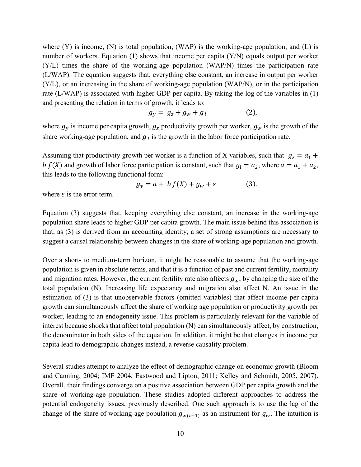where  $(Y)$  is income,  $(N)$  is total population,  $(WAP)$  is the working-age population, and  $(L)$  is number of workers. Equation (1) shows that income per capita (Y/N) equals output per worker (Y/L) times the share of the working-age population (WAP/N) times the participation rate (L/WAP). The equation suggests that, everything else constant, an increase in output per worker (Y/L), or an increasing in the share of working-age population (WAP/N), or in the participation rate (L/WAP) is associated with higher GDP per capita. By taking the log of the variables in (1) and presenting the relation in terms of growth, it leads to:

$$
g_y = g_z + g_w + g_l \tag{2}
$$

where  $g_y$  is income per capita growth,  $g_z$  productivity growth per worker,  $g_w$  is the growth of the share working-age population, and  $g<sub>l</sub>$  is the growth in the labor force participation rate.

Assuming that productivity growth per worker is a function of X variables, such that  $g_z = a_1 + a_2$ b  $f(X)$  and growth of labor force participation is constant, such that  $g_1 = a_2$ , where  $a = a_1 + a_2$ , this leads to the following functional form:

$$
g_y = a + b f(X) + g_w + \varepsilon \tag{3}
$$

where  $\varepsilon$  is the error term.

Equation (3) suggests that, keeping everything else constant, an increase in the working-age population share leads to higher GDP per capita growth. The main issue behind this association is that, as (3) is derived from an accounting identity, a set of strong assumptions are necessary to suggest a causal relationship between changes in the share of working-age population and growth.

Over a short- to medium-term horizon, it might be reasonable to assume that the working-age population is given in absolute terms, and that it is a function of past and current fertility, mortality and migration rates. However, the current fertility rate also affects  $g_w$ , by changing the size of the total population (N). Increasing life expectancy and migration also affect N. An issue in the estimation of (3) is that unobservable factors (omitted variables) that affect income per capita growth can simultaneously affect the share of working age population or productivity growth per worker, leading to an endogeneity issue. This problem is particularly relevant for the variable of interest because shocks that affect total population (N) can simultaneously affect, by construction, the denominator in both sides of the equation. In addition, it might be that changes in income per capita lead to demographic changes instead, a reverse causality problem.

Several studies attempt to analyze the effect of demographic change on economic growth (Bloom and Canning, 2004; IMF 2004, Eastwood and Lipton, 2011; Kelley and Schmidt, 2005, 2007). Overall, their findings converge on a positive association between GDP per capita growth and the share of working-age population. These studies adopted different approaches to address the potential endogeneity issues, previously described. One such approach is to use the lag of the change of the share of working-age population  $g_{w(t-1)}$  as an instrument for  $g_w$ . The intuition is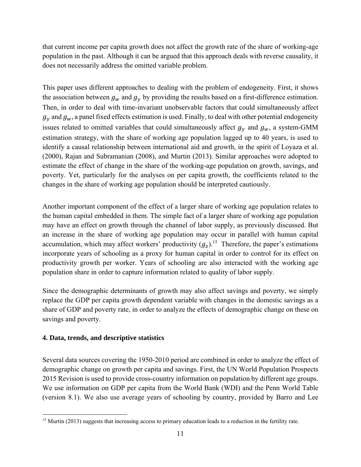that current income per capita growth does not affect the growth rate of the share of working-age population in the past. Although it can be argued that this approach deals with reverse causality, it does not necessarily address the omitted variable problem.

This paper uses different approaches to dealing with the problem of endogeneity. First, it shows the association between  $g_w$  and  $g_v$  by providing the results based on a first-difference estimation. Then, in order to deal with time-invariant unobservable factors that could simultaneously affect  $g_v$  and  $g_w$ , a panel fixed effects estimation is used. Finally, to deal with other potential endogeneity issues related to omitted variables that could simultaneously affect  $g<sub>v</sub>$  and  $g<sub>w</sub>$ , a system-GMM estimation strategy, with the share of working age population lagged up to 40 years, is used to identify a causal relationship between international aid and growth, in the spirit of Loyaza et al. (2000), Rajan and Subramanian (2008), and Murtin (2013). Similar approaches were adopted to estimate the effect of change in the share of the working-age population on growth, savings, and poverty. Yet, particularly for the analyses on per capita growth, the coefficients related to the changes in the share of working age population should be interpreted cautiously.

Another important component of the effect of a larger share of working age population relates to the human capital embedded in them. The simple fact of a larger share of working age population may have an effect on growth through the channel of labor supply, as previously discussed. But an increase in the share of working age population may occur in parallel with human capital accumulation, which may affect workers' productivity  $(q<sub>z</sub>)$ .<sup>15</sup> Therefore, the paper's estimations incorporate years of schooling as a proxy for human capital in order to control for its effect on productivity growth per worker. Years of schooling are also interacted with the working age population share in order to capture information related to quality of labor supply.

Since the demographic determinants of growth may also affect savings and poverty, we simply replace the GDP per capita growth dependent variable with changes in the domestic savings as a share of GDP and poverty rate, in order to analyze the effects of demographic change on these on savings and poverty.

# **4. Data, trends, and descriptive statistics**

Several data sources covering the 1950-2010 period are combined in order to analyze the effect of demographic change on growth per capita and savings. First, the UN World Population Prospects 2015 Revision is used to provide cross-country information on population by different age groups. We use information on GDP per capita from the World Bank (WDI) and the Penn World Table (version 8.1). We also use average years of schooling by country, provided by Barro and Lee

 $\overline{a}$ <sup>15</sup> Murtin (2013) suggests that increasing access to primary education leads to a reduction in the fertility rate.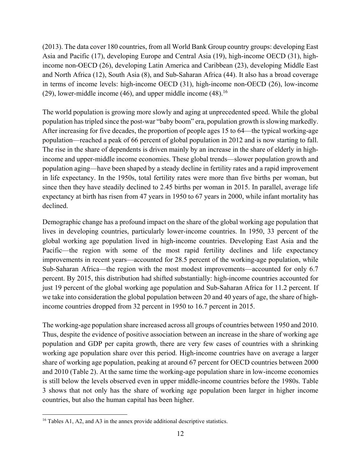(2013). The data cover 180 countries, from all World Bank Group country groups: developing East Asia and Pacific (17), developing Europe and Central Asia (19), high-income OECD (31), highincome non-OECD (26), developing Latin America and Caribbean (23), developing Middle East and North Africa (12), South Asia (8), and Sub-Saharan Africa (44). It also has a broad coverage in terms of income levels: high-income OECD (31), high-income non-OECD (26), low-income (29), lower-middle income (46), and upper middle income  $(48)$ .<sup>16</sup>

The world population is growing more slowly and aging at unprecedented speed. While the global population has tripled since the post-war "baby boom" era, population growth is slowing markedly. After increasing for five decades, the proportion of people ages 15 to 64—the typical working-age population—reached a peak of 66 percent of global population in 2012 and is now starting to fall. The rise in the share of dependents is driven mainly by an increase in the share of elderly in highincome and upper-middle income economies. These global trends—slower population growth and population aging—have been shaped by a steady decline in fertility rates and a rapid improvement in life expectancy. In the 1950s, total fertility rates were more than five births per woman, but since then they have steadily declined to 2.45 births per woman in 2015. In parallel, average life expectancy at birth has risen from 47 years in 1950 to 67 years in 2000, while infant mortality has declined.

Demographic change has a profound impact on the share of the global working age population that lives in developing countries, particularly lower-income countries. In 1950, 33 percent of the global working age population lived in high-income countries. Developing East Asia and the Pacific—the region with some of the most rapid fertility declines and life expectancy improvements in recent years—accounted for 28.5 percent of the working-age population, while Sub-Saharan Africa—the region with the most modest improvements—accounted for only 6.7 percent. By 2015, this distribution had shifted substantially: high-income countries accounted for just 19 percent of the global working age population and Sub-Saharan Africa for 11.2 percent. If we take into consideration the global population between 20 and 40 years of age, the share of highincome countries dropped from 32 percent in 1950 to 16.7 percent in 2015.

The working-age population share increased across all groups of countries between 1950 and 2010. Thus, despite the evidence of positive association between an increase in the share of working age population and GDP per capita growth, there are very few cases of countries with a shrinking working age population share over this period. High-income countries have on average a larger share of working age population, peaking at around 67 percent for OECD countries between 2000 and 2010 (Table 2). At the same time the working-age population share in low-income economies is still below the levels observed even in upper middle-income countries before the 1980s. Table 3 shows that not only has the share of working age population been larger in higher income countries, but also the human capital has been higher.

 $\overline{a}$ 

<sup>&</sup>lt;sup>16</sup> Tables A1, A2, and A3 in the annex provide additional descriptive statistics.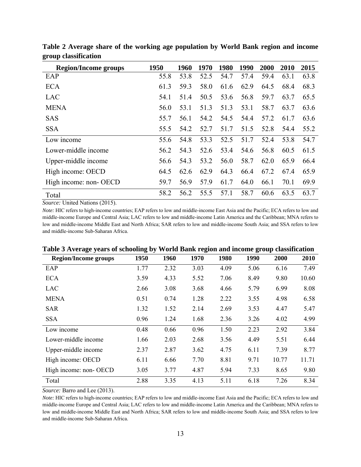| <b>Region/Income groups</b> | 1950 | 1960 | 1970 | 1980 | 1990 | 2000 | <b>2010</b> | 2015 |
|-----------------------------|------|------|------|------|------|------|-------------|------|
| EAP                         | 55.8 | 53.8 | 52.5 | 54.7 | 57.4 | 59.4 | 63.1        | 63.8 |
| <b>ECA</b>                  | 61.3 | 59.3 | 58.0 | 61.6 | 62.9 | 64.5 | 68.4        | 68.3 |
| LAC                         | 54.1 | 51.4 | 50.5 | 53.6 | 56.8 | 59.7 | 63.7        | 65.5 |
| <b>MENA</b>                 | 56.0 | 53.1 | 51.3 | 51.3 | 53.1 | 58.7 | 63.7        | 63.6 |
| <b>SAS</b>                  | 55.7 | 56.1 | 54.2 | 54.5 | 54.4 | 57.2 | 61.7        | 63.6 |
| <b>SSA</b>                  | 55.5 | 54.2 | 52.7 | 51.7 | 51.5 | 52.8 | 54.4        | 55.2 |
| Low income                  | 55.6 | 54.8 | 53.3 | 52.5 | 51.7 | 52.4 | 53.8        | 54.7 |
| Lower-middle income         | 56.2 | 54.3 | 52.6 | 53.4 | 54.6 | 56.8 | 60.5        | 61.5 |
| Upper-middle income         | 56.6 | 54.3 | 53.2 | 56.0 | 58.7 | 62.0 | 65.9        | 66.4 |
| High income: OECD           | 64.5 | 62.6 | 62.9 | 64.3 | 66.4 | 67.2 | 67.4        | 65.9 |
| High income: non- OECD      | 59.7 | 56.9 | 57.9 | 61.7 | 64.0 | 66.1 | 70.1        | 69.9 |
| Total                       | 58.2 | 56.2 | 55.5 | 57.1 | 58.7 | 60.6 | 63.5        | 63.7 |

**Table 2 Average share of the working age population by World Bank region and income group classification**

*Source:* United Nations (2015).

*Note:* HIC refers to high-income countries; EAP refers to low and middle-income East Asia and the Pacific; ECA refers to low and middle-income Europe and Central Asia; LAC refers to low and middle-income Latin America and the Caribbean; MNA refers to low and middle-income Middle East and North Africa; SAR refers to low and middle-income South Asia; and SSA refers to low and middle-income Sub-Saharan Africa.

| <b>Region/Income groups</b> | 1950 | 1960 | 1970 | 1980 | 1990 | 2000  | 2010  |
|-----------------------------|------|------|------|------|------|-------|-------|
| EAP                         | 1.77 | 2.32 | 3.03 | 4.09 | 5.06 | 6.16  | 7.49  |
| <b>ECA</b>                  | 3.59 | 4.33 | 5.52 | 7.06 | 8.49 | 9.80  | 10.60 |
| LAC                         | 2.66 | 3.08 | 3.68 | 4.66 | 5.79 | 6.99  | 8.08  |
| <b>MENA</b>                 | 0.51 | 0.74 | 1.28 | 2.22 | 3.55 | 4.98  | 6.58  |
| <b>SAR</b>                  | 1.32 | 1.52 | 2.14 | 2.69 | 3.53 | 4.47  | 5.47  |
| <b>SSA</b>                  | 0.96 | 1.24 | 1.68 | 2.36 | 3.26 | 4.02  | 4.99  |
| Low income                  | 0.48 | 0.66 | 0.96 | 1.50 | 2.23 | 2.92  | 3.84  |
| Lower-middle income         | 1.66 | 2.03 | 2.68 | 3.56 | 4.49 | 5.51  | 6.44  |
| Upper-middle income         | 2.37 | 2.87 | 3.62 | 4.75 | 6.11 | 7.39  | 8.77  |
| High income: OECD           | 6.11 | 6.66 | 7.70 | 8.81 | 9.71 | 10.77 | 11.71 |
| High income: non- OECD      | 3.05 | 3.77 | 4.87 | 5.94 | 7.33 | 8.65  | 9.80  |
| Total                       | 2.88 | 3.35 | 4.13 | 5.11 | 6.18 | 7.26  | 8.34  |

**Table 3 Average years of schooling by World Bank region and income group classification**

*Source:* Barro and Lee (2013).

*Note:* HIC refers to high-income countries; EAP refers to low and middle-income East Asia and the Pacific; ECA refers to low and middle-income Europe and Central Asia; LAC refers to low and middle-income Latin America and the Caribbean; MNA refers to low and middle-income Middle East and North Africa; SAR refers to low and middle-income South Asia; and SSA refers to low and middle-income Sub-Saharan Africa.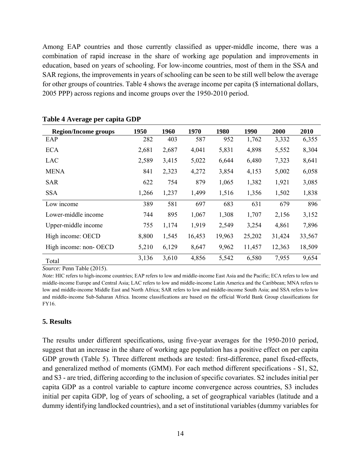Among EAP countries and those currently classified as upper-middle income, there was a combination of rapid increase in the share of working age population and improvements in education, based on years of schooling. For low-income countries, most of them in the SSA and SAR regions, the improvements in years of schooling can be seen to be still well below the average for other groups of countries. Table 4 shows the average income per capita (\$ international dollars, 2005 PPP) across regions and income groups over the 1950-2010 period.

| <b>Region/Income groups</b> | 1950  | 1960  | 1970   | 1980   | 1990   | 2000   | 2010   |
|-----------------------------|-------|-------|--------|--------|--------|--------|--------|
| EAP                         | 282   | 403   | 587    | 952    | 1,762  | 3,332  | 6,355  |
| <b>ECA</b>                  | 2,681 | 2,687 | 4,041  | 5,831  | 4,898  | 5,552  | 8,304  |
| LAC                         | 2,589 | 3,415 | 5,022  | 6,644  | 6,480  | 7,323  | 8,641  |
| <b>MENA</b>                 | 841   | 2,323 | 4,272  | 3,854  | 4,153  | 5,002  | 6,058  |
| <b>SAR</b>                  | 622   | 754   | 879    | 1,065  | 1,382  | 1,921  | 3,085  |
| <b>SSA</b>                  | 1,266 | 1,237 | 1,499  | 1,516  | 1,356  | 1,502  | 1,838  |
| Low income                  | 389   | 581   | 697    | 683    | 631    | 679    | 896    |
| Lower-middle income         | 744   | 895   | 1,067  | 1,308  | 1,707  | 2,156  | 3,152  |
| Upper-middle income         | 755   | 1,174 | 1,919  | 2,549  | 3,254  | 4,861  | 7,896  |
| High income: OECD           | 8,800 | 1,545 | 16,453 | 19,963 | 25,202 | 31,424 | 33,567 |
| High income: non-OECD       | 5,210 | 6,129 | 8,647  | 9,962  | 11,457 | 12,363 | 18,509 |
| Total                       | 3,136 | 3,610 | 4,856  | 5,542  | 6,580  | 7,955  | 9,654  |

#### **Table 4 Average per capita GDP**

*Source:* Penn Table (2015).

*Note:* HIC refers to high-income countries; EAP refers to low and middle-income East Asia and the Pacific; ECA refers to low and middle-income Europe and Central Asia; LAC refers to low and middle-income Latin America and the Caribbean; MNA refers to low and middle-income Middle East and North Africa; SAR refers to low and middle-income South Asia; and SSA refers to low and middle-income Sub-Saharan Africa. Income classifications are based on the official World Bank Group classifications for FY16.

#### **5. Results**

The results under different specifications, using five-year averages for the 1950-2010 period, suggest that an increase in the share of working age population has a positive effect on per capita GDP growth (Table 5). Three different methods are tested: first-difference, panel fixed-effects, and generalized method of moments (GMM). For each method different specifications - S1, S2, and S3 - are tried, differing according to the inclusion of specific covariates. S2 includes initial per capita GDP as a control variable to capture income convergence across countries, S3 includes initial per capita GDP, log of years of schooling, a set of geographical variables (latitude and a dummy identifying landlocked countries), and a set of institutional variables (dummy variables for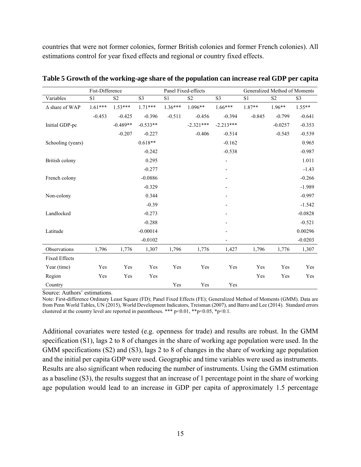countries that were not former colonies, former British colonies and former French colonies). All estimations control for year fixed effects and regional or country fixed effects.

|                       | Fist-Difference |                |                |           | Panel Fixed-effects |                          | Generalized Method of Moments<br>S <sub>2</sub><br>S <sub>3</sub><br>S <sub>1</sub><br>$1.96**$<br>1.87**<br>$-0.845$<br>$-0.799$<br>$-0.0257$<br>$-0.545$ |       |           |
|-----------------------|-----------------|----------------|----------------|-----------|---------------------|--------------------------|------------------------------------------------------------------------------------------------------------------------------------------------------------|-------|-----------|
| Variables             | S1              | S <sub>2</sub> | S <sub>3</sub> | S1        | S <sub>2</sub>      | S <sub>3</sub>           |                                                                                                                                                            |       |           |
| $\Delta$ share of WAP | $1.61***$       | $1.53***$      | $1.71***$      | $1.36***$ | 1.096**             | $1.66***$                |                                                                                                                                                            |       | $1.55**$  |
|                       | $-0.453$        | $-0.425$       | $-0.396$       | $-0.511$  | $-0.456$            | $-0.394$                 |                                                                                                                                                            |       | $-0.641$  |
| Initial GDP-pc        |                 | $-0.489**$     | $-0.533**$     |           | $-2.321***$         | $-2.213***$              |                                                                                                                                                            |       | $-0.353$  |
|                       |                 | $-0.207$       | $-0.227$       |           | $-0.406$            | $-0.514$                 |                                                                                                                                                            |       | $-0.539$  |
| Schooling (years)     |                 |                | $0.618**$      |           |                     | $-0.162$                 |                                                                                                                                                            |       | 0.965     |
|                       |                 |                | $-0.242$       |           |                     | $-0.538$                 |                                                                                                                                                            |       | $-0.987$  |
| British colony        |                 |                | 0.295          |           |                     | $\overline{\phantom{0}}$ |                                                                                                                                                            |       | 1.011     |
|                       |                 |                | $-0.277$       |           |                     |                          |                                                                                                                                                            |       | $-1.43$   |
| French colony         |                 |                | $-0.0886$      |           |                     |                          |                                                                                                                                                            |       | $-0.266$  |
|                       |                 |                | $-0.329$       |           |                     |                          |                                                                                                                                                            |       | $-1.989$  |
| Non-colony            |                 |                | 0.344          |           |                     |                          |                                                                                                                                                            |       | $-0.997$  |
|                       |                 |                | $-0.39$        |           |                     |                          |                                                                                                                                                            |       | $-1.542$  |
| Landlocked            |                 |                | $-0.273$       |           |                     |                          |                                                                                                                                                            |       | $-0.0828$ |
|                       |                 |                | $-0.288$       |           |                     |                          |                                                                                                                                                            |       | $-0.521$  |
| Latitude              |                 |                | $-0.00014$     |           |                     |                          |                                                                                                                                                            |       | 0.00296   |
|                       |                 |                | $-0.0102$      |           |                     |                          |                                                                                                                                                            |       | $-0.0203$ |
| Observations          | 1,796           | 1,776          | 1,307          | 1,796     | 1,776               | 1,427                    | 1,796                                                                                                                                                      | 1,776 | 1,307     |
| <b>Fixed Effects</b>  |                 |                |                |           |                     |                          |                                                                                                                                                            |       |           |
| Year (time)           | Yes             | Yes            | Yes            | Yes       | Yes                 | Yes                      | Yes                                                                                                                                                        | Yes   | Yes       |
| Region                | Yes             | Yes            | Yes            |           |                     |                          | Yes                                                                                                                                                        | Yes   | Yes       |
| Country               |                 |                |                | Yes       | Yes                 | Yes                      |                                                                                                                                                            |       |           |

**Table 5 Growth of the working-age share of the population can increase real GDP per capita**

Source: Authors' estimations.

Note: First-difference Ordinary Least Square (FD); Panel Fixed Effects (FE); Generalized Method of Moments (GMM). Data are from Penn World Tables, UN (2015), World Development Indicators, Treisman (2007), and Barro and Lee (2014). Standard errors clustered at the country level are reported in parentheses. \*\*\* p<0.01, \*\*p<0.05, \*p<0.1.

Additional covariates were tested (e.g. openness for trade) and results are robust. In the GMM specification (S1), lags 2 to 8 of changes in the share of working age population were used. In the GMM specifications (S2) and (S3), lags 2 to 8 of changes in the share of working age population and the initial per capita GDP were used. Geographic and time variables were used as instruments. Results are also significant when reducing the number of instruments. Using the GMM estimation as a baseline (S3), the results suggest that an increase of 1 percentage point in the share of working age population would lead to an increase in GDP per capita of approximately 1.5 percentage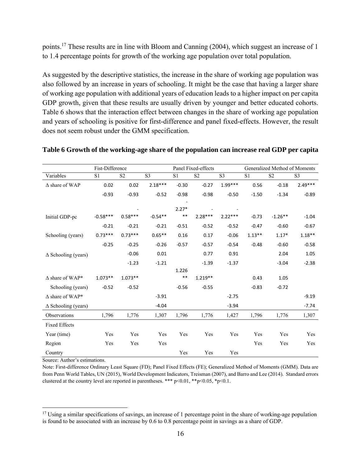points.17 These results are in line with Bloom and Canning (2004), which suggest an increase of 1 to 1.4 percentage points for growth of the working age population over total population.

As suggested by the descriptive statistics, the increase in the share of working age population was also followed by an increase in years of schooling. It might be the case that having a larger share of working age population with additional years of education leads to a higher impact on per capita GDP growth, given that these results are usually driven by younger and better educated cohorts. Table 6 shows that the interaction effect between changes in the share of working age population and years of schooling is positive for first-difference and panel fixed-effects. However, the result does not seem robust under the GMM specification.

|                            | Fist-Difference |                | Panel Fixed-effects |         |                |                |                | Generalized Method of Moments |           |  |  |
|----------------------------|-----------------|----------------|---------------------|---------|----------------|----------------|----------------|-------------------------------|-----------|--|--|
| Variables                  | S <sub>1</sub>  | S <sub>2</sub> | S <sub>3</sub>      | S1      | S <sub>2</sub> | S <sub>3</sub> | S <sub>1</sub> | S <sub>2</sub>                | S3        |  |  |
| $\Delta$ share of WAP      | 0.02            | 0.02           | $2.18***$           | $-0.30$ | $-0.27$        | $1.99***$      | 0.56           | $-0.18$                       | $2.49***$ |  |  |
|                            | $-0.93$         | $-0.93$        | $-0.52$             | $-0.98$ | $-0.98$        | $-0.50$        | $-1.50$        | $-1.34$                       | $-0.89$   |  |  |
|                            |                 |                |                     |         |                |                |                |                               |           |  |  |
|                            |                 |                |                     | $2.27*$ |                |                |                |                               |           |  |  |
| Initial GDP-pc             | $-0.58***$      | $0.58***$      | $-0.54**$           | $***$   | $2.28***$      | $2.22***$      | $-0.73$        | $-1.26**$                     | $-1.04$   |  |  |
|                            | $-0.21$         | $-0.21$        | $-0.21$             | $-0.51$ | $-0.52$        | $-0.52$        | $-0.47$        | $-0.60$                       | $-0.67$   |  |  |
| Schooling (years)          | $0.73***$       | $0.73***$      | $0.65***$           | 0.16    | 0.17           | $-0.06$        | $1.13***$      | $1.17*$                       | $1.18**$  |  |  |
|                            | $-0.25$         | $-0.25$        | $-0.26$             | $-0.57$ | $-0.57$        | $-0.54$        | $-0.48$        | $-0.60$                       | $-0.58$   |  |  |
| $\Delta$ Schooling (years) |                 | $-0.06$        | 0.01                |         | 0.77           | 0.91           |                | 2.04                          | 1.05      |  |  |
|                            |                 | $-1.23$        | $-1.21$             |         | $-1.39$        | $-1.37$        |                | $-3.04$                       | $-2.38$   |  |  |
|                            |                 |                |                     | 1.226   |                |                |                |                               |           |  |  |
| $\Delta$ share of WAP*     | $1.073**$       | $1.073**$      |                     | $***$   | $1.219**$      |                | 0.43           | 1.05                          |           |  |  |
| Schooling (years)          | $-0.52$         | $-0.52$        |                     | $-0.56$ | $-0.55$        |                | $-0.83$        | $-0.72$                       |           |  |  |
| $\Delta$ share of WAP*     |                 |                | $-3.91$             |         |                | $-2.75$        |                |                               | $-9.19$   |  |  |
| $\Delta$ Schooling (years) |                 |                | $-4.04$             |         |                | $-3.94$        |                |                               | $-7.74$   |  |  |
| Observations               | 1,796           | 1,776          | 1,307               | 1,796   | 1,776          | 1,427          | 1,796          | 1,776                         | 1,307     |  |  |
| <b>Fixed Effects</b>       |                 |                |                     |         |                |                |                |                               |           |  |  |
| Year (time)                | Yes             | Yes            | Yes                 | Yes     | Yes            | Yes            | Yes            | Yes                           | Yes       |  |  |
| Region                     | Yes             | Yes            | Yes                 |         |                |                | Yes            | Yes                           | Yes       |  |  |
| Country                    |                 |                |                     | Yes     | Yes            | Yes            |                |                               |           |  |  |

#### **Table 6 Growth of the working-age share of the population can increase real GDP per capita**

Source: Author's estimations.

 $\overline{a}$ 

Note: First-difference Ordinary Least Square (FD); Panel Fixed Effects (FE); Generalized Method of Moments (GMM). Data are from Penn World Tables, UN (2015), World Development Indicators, Treisman (2007), and Barro and Lee (2014). Standard errors clustered at the country level are reported in parentheses. \*\*\*  $p<0.01$ , \*\* $p<0.05$ , \* $p<0.1$ .

<sup>&</sup>lt;sup>17</sup> Using a similar specifications of savings, an increase of 1 percentage point in the share of working-age population is found to be associated with an increase by 0.6 to 0.8 percentage point in savings as a share of GDP.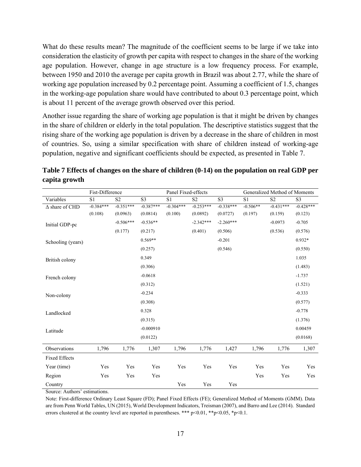What do these results mean? The magnitude of the coefficient seems to be large if we take into consideration the elasticity of growth per capita with respect to changes in the share of the working age population. However, change in age structure is a low frequency process. For example, between 1950 and 2010 the average per capita growth in Brazil was about 2.77, while the share of working age population increased by 0.2 percentage point. Assuming a coefficient of 1.5, changes in the working-age population share would have contributed to about 0.3 percentage point, which is about 11 percent of the average growth observed over this period.

Another issue regarding the share of working age population is that it might be driven by changes in the share of children or elderly in the total population. The descriptive statistics suggest that the rising share of the working age population is driven by a decrease in the share of children in most of countries. So, using a similar specification with share of children instead of working-age population, negative and significant coefficients should be expected, as presented in Table 7.

|                       | Fist-Difference |                |                | Panel Fixed-effects |                |                |                | Generalized Method of Moments |                |
|-----------------------|-----------------|----------------|----------------|---------------------|----------------|----------------|----------------|-------------------------------|----------------|
| Variables             | S <sub>1</sub>  | S <sub>2</sub> | S <sub>3</sub> | S <sub>1</sub>      | S <sub>2</sub> | S <sub>3</sub> | S <sub>1</sub> | S <sub>2</sub>                | S <sub>3</sub> |
| $\Delta$ share of CHD | $-0.384***$     | $-0.351***$    | $-0.387***$    | $-0.304***$         | $-0.253***$    | $-0.338***$    | $-0.506**$     | $-0.431***$                   | $-0.428***$    |
|                       | (0.108)         | (0.0963)       | (0.0814)       | (0.100)             | (0.0892)       | (0.0727)       | (0.197)        | (0.159)                       | (0.123)        |
| Initial GDP-pc        |                 | $-0.506***$    | $-0.536**$     |                     | $-2.342***$    | $-2.260***$    |                | $-0.0973$                     | $-0.705$       |
|                       |                 | (0.177)        | (0.217)        |                     | (0.401)        | (0.506)        |                | (0.536)                       | (0.576)        |
| Schooling (years)     |                 |                | $0.569**$      |                     |                | $-0.201$       |                |                               | $0.932*$       |
|                       |                 |                | (0.257)        |                     |                | (0.546)        |                |                               | (0.550)        |
| British colony        |                 |                | 0.349          |                     |                |                |                |                               | 1.035          |
|                       |                 |                | (0.306)        |                     |                |                |                |                               | (1.483)        |
| French colony         |                 |                | $-0.0618$      |                     |                |                |                |                               | $-1.737$       |
|                       |                 |                | (0.312)        |                     |                |                |                |                               | (1.521)        |
| Non-colony            |                 |                | $-0.234$       |                     |                |                |                |                               | $-0.333$       |
|                       |                 |                | (0.308)        |                     |                |                |                |                               | (0.577)        |
| Landlocked            |                 |                | 0.328          |                     |                |                |                |                               | $-0.778$       |
|                       |                 |                | (0.315)        |                     |                |                |                |                               | (1.376)        |
| Latitude              |                 |                | $-0.000910$    |                     |                |                |                |                               | 0.00459        |
|                       |                 |                | (0.0122)       |                     |                |                |                |                               | (0.0168)       |
| Observations          | 1,796           | 1,776          | 1,307          | 1,796               | 1,776          | 1,427          | 1,796          | 1,776                         | 1,307          |
| <b>Fixed Effects</b>  |                 |                |                |                     |                |                |                |                               |                |
| Year (time)           | Yes             | Yes            | Yes            | Yes                 | Yes            | Yes            | Yes            | Yes                           | Yes            |
| Region                | Yes             | Yes            | Yes            |                     |                |                | Yes            | Yes                           | Yes            |
| Country               |                 |                |                | Yes                 | Yes            | Yes            |                |                               |                |

**Table 7 Effects of changes on the share of children (0-14) on the population on real GDP per capita growth**

Source: Authors' estimations.

Note: First-difference Ordinary Least Square (FD); Panel Fixed Effects (FE); Generalized Method of Moments (GMM). Data are from Penn World Tables, UN (2015), World Development Indicators, Treisman (2007), and Barro and Lee (2014). Standard errors clustered at the country level are reported in parentheses. \*\*\*  $p \le 0.01$ , \*\* $p \le 0.05$ , \* $p \le 0.1$ .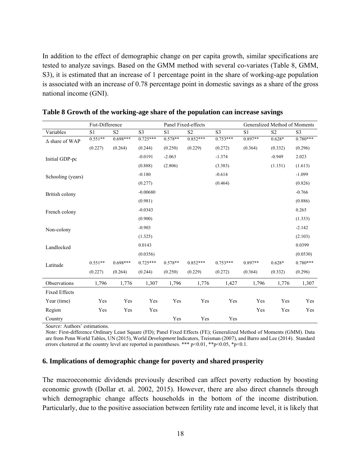In addition to the effect of demographic change on per capita growth, similar specifications are tested to analyze savings. Based on the GMM method with several co-variates (Table 8, GMM, S3), it is estimated that an increase of 1 percentage point in the share of working-age population is associated with an increase of 0.78 percentage point in domestic savings as a share of the gross national income (GNI).

|                       | Fist-Difference |                |                 |           | Panel Fixed-effects |                 |           | Generalized Method of Moments |                |
|-----------------------|-----------------|----------------|-----------------|-----------|---------------------|-----------------|-----------|-------------------------------|----------------|
| Variables             | S1              | S <sub>2</sub> | $\overline{S3}$ | S1        | S <sub>2</sub>      | $\overline{S3}$ | S1        | S <sub>2</sub>                | S <sub>3</sub> |
| $\Delta$ share of WAP | $0.551**$       | $0.698***$     | $0.725***$      | $0.578**$ | $0.852***$          | $0.753***$      | $0.897**$ | $0.628*$                      | $0.780***$     |
|                       | (0.227)         | (0.264)        | (0.244)         | (0.250)   | (0.229)             | (0.272)         | (0.364)   | (0.332)                       | (0.296)        |
| Initial GDP-pc        |                 |                | $-0.0191$       | $-2.063$  |                     | $-1.374$        |           | $-0.949$                      | 2.023          |
|                       |                 |                | (0.888)         | (2.806)   |                     | (3.383)         |           | (1.151)                       | (1.613)        |
| Schooling (years)     |                 |                | $-0.180$        |           |                     | $-0.614$        |           |                               | $-1.099$       |
|                       |                 |                | (0.277)         |           |                     | (0.464)         |           |                               | (0.826)        |
| British colony        |                 |                | $-0.00680$      |           |                     |                 |           |                               | $-0.766$       |
|                       |                 |                | (0.981)         |           |                     |                 |           |                               | (0.886)        |
| French colony         |                 |                | $-0.0343$       |           |                     |                 |           |                               | 0.265          |
|                       |                 |                | (0.900)         |           |                     |                 |           |                               | (1.333)        |
| Non-colony            |                 |                | $-0.903$        |           |                     |                 |           |                               | $-2.142$       |
|                       |                 |                | (1.325)         |           |                     |                 |           |                               | (2.103)        |
| Landlocked            |                 |                | 0.0143          |           |                     |                 |           |                               | 0.0399         |
|                       |                 |                | (0.0356)        |           |                     |                 |           |                               | (0.0530)       |
| Latitude              | $0.551**$       | $0.698***$     | $0.725***$      | $0.578**$ | $0.852***$          | $0.753***$      | $0.897**$ | $0.628*$                      | $0.780***$     |
|                       | (0.227)         | (0.264)        | (0.244)         | (0.250)   | (0.229)             | (0.272)         | (0.364)   | (0.332)                       | (0.296)        |
| Observations          | 1,796           | 1,776          | 1,307           | 1,796     | 1,776               | 1,427           | 1,796     | 1,776                         | 1,307          |
| <b>Fixed Effects</b>  |                 |                |                 |           |                     |                 |           |                               |                |
| Year (time)           | Yes             | Yes            | Yes             | Yes       | Yes                 | Yes             | Yes       | Yes                           | Yes            |
| Region                | Yes             | Yes            | Yes             |           |                     |                 | Yes       | Yes                           | Yes            |
| Country               |                 |                |                 | Yes       | Yes                 | Yes             |           |                               |                |

|  |  |  | Table 8 Growth of the working-age share of the population can increase savings |  |
|--|--|--|--------------------------------------------------------------------------------|--|
|  |  |  |                                                                                |  |

*Source:* Authors' estimations.

*Note:* First-difference Ordinary Least Square (FD); Panel Fixed Effects (FE); Generalized Method of Moments (GMM). Data are from Penn World Tables, UN (2015), World *Development* Indicators, Treisman (2007), and Barro and Lee (2014). Standard errors clustered at the country level are reported in parentheses. \*\*\*  $p \le 0.01$ , \*\* $p \le 0.05$ , \* $p \le 0.1$ .

#### **6. Implications of demographic change for poverty and shared prosperity**

The macroeconomic dividends previously described can affect poverty reduction by boosting economic growth (Dollar et. al. 2002, 2015). However, there are also direct channels through which demographic change affects households in the bottom of the income distribution. Particularly, due to the positive association between fertility rate and income level, it is likely that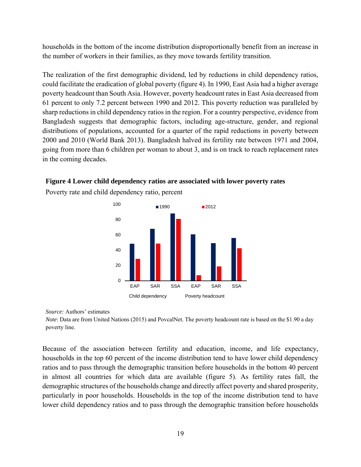households in the bottom of the income distribution disproportionally benefit from an increase in the number of workers in their families, as they move towards fertility transition.

The realization of the first demographic dividend, led by reductions in child dependency ratios, could facilitate the eradication of global poverty (figure 4). In 1990, East Asia had a higher average poverty headcount than South Asia. However, poverty headcount rates in East Asia decreased from 61 percent to only 7.2 percent between 1990 and 2012. This poverty reduction was paralleled by sharp reductions in child dependency ratios in the region. For a country perspective, evidence from Bangladesh suggests that demographic factors, including age-structure, gender, and regional distributions of populations, accounted for a quarter of the rapid reductions in poverty between 2000 and 2010 (World Bank 2013). Bangladesh halved its fertility rate between 1971 and 2004, going from more than 6 children per woman to about 3, and is on track to reach replacement rates in the coming decades.

# **Figure 4 Lower child dependency ratios are associated with lower poverty rates**







*Note*: Data are from United Nations (2015) and PovcalNet. The poverty headcount rate is based on the \$1.90 a day poverty line.

Because of the association between fertility and education, income, and life expectancy, households in the top 60 percent of the income distribution tend to have lower child dependency ratios and to pass through the demographic transition before households in the bottom 40 percent in almost all countries for which data are available (figure 5). As fertility rates fall, the demographic structures of the households change and directly affect poverty and shared prosperity, particularly in poor households. Households in the top of the income distribution tend to have lower child dependency ratios and to pass through the demographic transition before households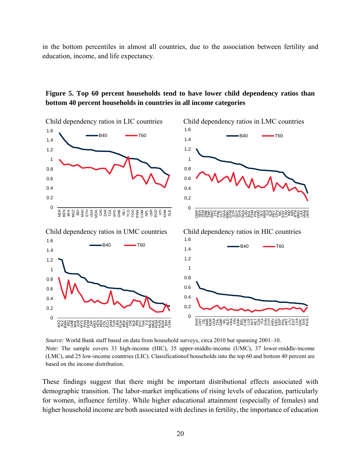in the bottom percentiles in almost all countries, due to the association between fertility and education, income, and life expectancy.

# **Figure 5. Top 60 percent households tend to have lower child dependency ratios than bottom 40 percent households in countries in all income categories**



*Source:* World Bank staff based on data from household surveys, circa 2010 but spanning 2001–10. *Note*: The sample covers 33 high-income (HIC), 35 upper-middle-income (UMC), 37 lower-middle-income (LMC), and 25 low-income countries (LIC). Classificationof households into the top 60 and bottom 40 percent are based on the income distribution.

These findings suggest that there might be important distributional effects associated with demographic transition. The labor-market implications of rising levels of education, particularly for women, influence fertility. While higher educational attainment (especially of females) and higher household income are both associated with declines in fertility, the importance of education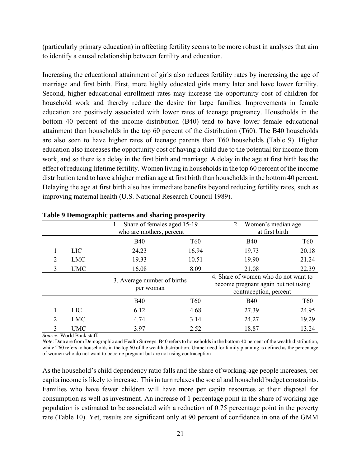(particularly primary education) in affecting fertility seems to be more robust in analyses that aim to identify a causal relationship between fertility and education.

Increasing the educational attainment of girls also reduces fertility rates by increasing the age of marriage and first birth. First, more highly educated girls marry later and have lower fertility. Second, higher educational enrollment rates may increase the opportunity cost of children for household work and thereby reduce the desire for large families. Improvements in female education are positively associated with lower rates of teenage pregnancy. Households in the bottom 40 percent of the income distribution (B40) tend to have lower female educational attainment than households in the top 60 percent of the distribution (T60). The B40 households are also seen to have higher rates of teenage parents than T60 households (Table 9). Higher education also increases the opportunity cost of having a child due to the potential for income from work, and so there is a delay in the first birth and marriage. A delay in the age at first birth has the effect of reducing lifetime fertility. Women living in households in the top 60 percent of the income distribution tend to have a higher median age at first birth than households in the bottom 40 percent. Delaying the age at first birth also has immediate benefits beyond reducing fertility rates, such as improving maternal health (U.S. National Research Council 1989).

|                             |            | Share of females aged 15-19<br>who are mothers, percent |            | 2.<br>Women's median age<br>at first birth                                                            |            |
|-----------------------------|------------|---------------------------------------------------------|------------|-------------------------------------------------------------------------------------------------------|------------|
|                             |            | <b>B40</b>                                              | T60        | <b>B40</b>                                                                                            | <b>T60</b> |
|                             | <b>LIC</b> | 24.23                                                   | 16.94      | 19.73                                                                                                 | 20.18      |
| 2                           | <b>LMC</b> | 19.33                                                   | 10.51      | 19.90                                                                                                 | 21.24      |
| 3                           | <b>UMC</b> | 16.08                                                   | 8.09       | 21.08                                                                                                 | 22.39      |
|                             |            | 3. Average number of births<br>per woman                |            | 4. Share of women who do not want to<br>become pregnant again but not using<br>contraception, percent |            |
|                             |            | <b>B40</b>                                              | <b>T60</b> | <b>B40</b>                                                                                            | <b>T60</b> |
|                             | <b>LIC</b> | 6.12                                                    | 4.68       | 27.39                                                                                                 | 24.95      |
| $\mathcal{D}_{\mathcal{L}}$ | <b>LMC</b> | 4.74                                                    | 3.14       | 24.27                                                                                                 | 19.29      |
| 3                           | <b>UMC</b> | 3.97                                                    | 2.52       | 18.87                                                                                                 | 13.24      |

## **Table 9 Demographic patterns and sharing prosperity**

*Source:* World Bank staff.

*Note*: Data are from Demographic and Health Surveys. B40 refers to households in the bottom 40 percent of the wealth distribution, while T60 refers to households in the top 60 of the wealth distribution. Unmet need for family planning is defined as the percentage of women who do not want to become pregnant but are not using contraception

As the household's child dependency ratio falls and the share of working-age people increases, per capita income is likely to increase. This in turn relaxes the social and household budget constraints. Families who have fewer children will have more per capita resources at their disposal for consumption as well as investment. An increase of 1 percentage point in the share of working age population is estimated to be associated with a reduction of 0.75 percentage point in the poverty rate (Table 10). Yet, results are significant only at 90 percent of confidence in one of the GMM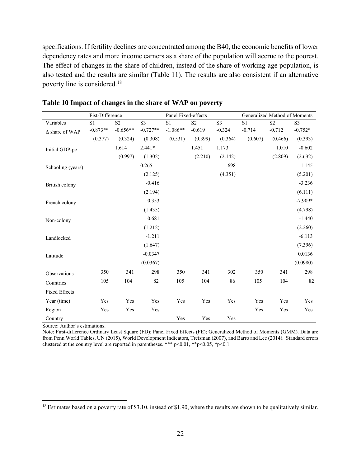specifications. If fertility declines are concentrated among the B40, the economic benefits of lower dependency rates and more income earners as a share of the population will accrue to the poorest. The effect of changes in the share of children, instead of the share of working-age population, is also tested and the results are similar (Table 11). The results are also consistent if an alternative poverty line is considered.18

|                       | Fist-Difference |                |                | Panel Fixed-effects |                |                |          | Generalized Method of Moments |                |
|-----------------------|-----------------|----------------|----------------|---------------------|----------------|----------------|----------|-------------------------------|----------------|
| Variables             | S1              | S <sub>2</sub> | S <sub>3</sub> | S <sub>1</sub>      | S <sub>2</sub> | S <sub>3</sub> | S1       | S <sub>2</sub>                | S <sub>3</sub> |
| $\Delta$ share of WAP | $-0.873**$      | $-0.656**$     | $-0.727**$     | $-1.086**$          | $-0.619$       | $-0.324$       | $-0.714$ | $-0.712$                      | $-0.752*$      |
|                       | (0.377)         | (0.324)        | (0.308)        | (0.531)             | (0.399)        | (0.364)        | (0.607)  | (0.466)                       | (0.393)        |
| Initial GDP-pc        |                 | 1.614          | $2.441*$       |                     | 1.451          | 1.173          |          | 1.010                         | $-0.602$       |
|                       |                 | (0.997)        | (1.302)        |                     | (2.210)        | (2.142)        |          | (2.809)                       | (2.632)        |
| Schooling (years)     |                 |                | 0.265          |                     |                | 1.698          |          |                               | 1.145          |
|                       |                 |                | (2.125)        |                     |                | (4.351)        |          |                               | (5.201)        |
| British colony        |                 |                | $-0.416$       |                     |                |                |          |                               | $-3.236$       |
|                       |                 |                | (2.194)        |                     |                |                |          |                               | (6.111)        |
| French colony         |                 |                | 0.353          |                     |                |                |          |                               | $-7.909*$      |
|                       |                 |                | (1.435)        |                     |                |                |          |                               | (4.798)        |
| Non-colony            |                 |                | 0.681          |                     |                |                |          |                               | $-1.440$       |
|                       |                 |                | (1.212)        |                     |                |                |          |                               | (2.260)        |
| Landlocked            |                 |                | $-1.211$       |                     |                |                |          |                               | $-6.113$       |
|                       |                 |                | (1.647)        |                     |                |                |          |                               | (7.396)        |
| Latitude              |                 |                | $-0.0347$      |                     |                |                |          |                               | 0.0136         |
|                       |                 |                | (0.0367)       |                     |                |                |          |                               | (0.0980)       |
| Observations          | 350             | 341            | 298            | 350                 | 341            | 302            | 350      | 341                           | 298            |
| Countries             | 105             | 104            | 82             | 105                 | 104            | 86             | 105      | 104                           | 82             |
| <b>Fixed Effects</b>  |                 |                |                |                     |                |                |          |                               |                |
| Year (time)           | Yes             | Yes            | Yes            | Yes                 | Yes            | Yes            | Yes      | Yes                           | Yes            |
| Region                | Yes             | Yes            | Yes            |                     |                |                | Yes      | Yes                           | Yes            |
| Country               |                 |                |                | Yes                 | Yes            | Yes            |          |                               |                |

#### **Table 10 Impact of changes in the share of WAP on poverty**

Source: Author's estimations.

 $\overline{a}$ 

Note: First-difference Ordinary Least Square (FD); Panel Fixed Effects (FE); Generalized Method of Moments (GMM). Data are from Penn World Tables, UN (2015), World Development Indicators, Treisman (2007), and Barro and Lee (2014). Standard errors clustered at the country level are reported in parentheses. \*\*\*  $p<0.01$ , \*\* $p<0.05$ , \* $p<0.1$ .

<sup>&</sup>lt;sup>18</sup> Estimates based on a poverty rate of \$3.10, instead of \$1.90, where the results are shown to be qualitatively similar.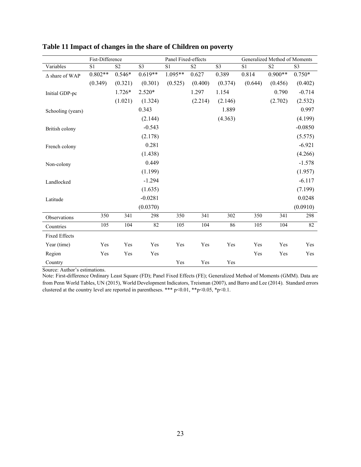|                       | Fist-Difference |                 |                | Panel Fixed-effects |                 |                |                 | Generalized Method of Moments |                        |
|-----------------------|-----------------|-----------------|----------------|---------------------|-----------------|----------------|-----------------|-------------------------------|------------------------|
| Variables             | S1              | $\overline{S2}$ | S <sub>3</sub> | $\overline{S1}$     | $\overline{S2}$ | S <sub>3</sub> | $\overline{S1}$ | $\overline{S2}$               | $\overline{\text{S}3}$ |
| $\Delta$ share of WAP | $0.802**$       | $0.546*$        | $0.619**$      | $1.095**$           | 0.627           | 0.389          | 0.814           | $0.900**$                     | $0.750*$               |
|                       | (0.349)         | (0.321)         | (0.301)        | (0.525)             | (0.400)         | (0.374)        | (0.644)         | (0.456)                       | (0.402)                |
| Initial GDP-pc        |                 | 1.726*          | $2.520*$       |                     | 1.297           | 1.154          |                 | 0.790                         | $-0.714$               |
|                       |                 | (1.021)         | (1.324)        |                     | (2.214)         | (2.146)        |                 | (2.702)                       | (2.532)                |
| Schooling (years)     |                 |                 | 0.343          |                     |                 | 1.889          |                 |                               | 0.997                  |
|                       |                 |                 | (2.144)        |                     |                 | (4.363)        |                 |                               | (4.199)                |
| British colony        |                 |                 | $-0.543$       |                     |                 |                |                 |                               | $-0.0850$              |
|                       |                 |                 | (2.178)        |                     |                 |                |                 |                               | (5.575)                |
| French colony         |                 |                 | 0.281          |                     |                 |                |                 |                               | $-6.921$               |
|                       |                 |                 | (1.438)        |                     |                 |                |                 |                               | (4.266)                |
| Non-colony            |                 |                 | 0.449          |                     |                 |                |                 |                               | $-1.578$               |
|                       |                 |                 | (1.199)        |                     |                 |                |                 |                               | (1.957)                |
| Landlocked            |                 |                 | $-1.294$       |                     |                 |                |                 |                               | $-6.117$               |
|                       |                 |                 | (1.635)        |                     |                 |                |                 |                               | (7.199)                |
| Latitude              |                 |                 | $-0.0281$      |                     |                 |                |                 |                               | 0.0248                 |
|                       |                 |                 | (0.0370)       |                     |                 |                |                 |                               | (0.0910)               |
| Observations          | 350             | 341             | 298            | 350                 | 341             | 302            | 350             | 341                           | 298                    |
| Countries             | 105             | 104             | 82             | 105                 | 104             | 86             | 105             | 104                           | 82                     |
| <b>Fixed Effects</b>  |                 |                 |                |                     |                 |                |                 |                               |                        |
| Year (time)           | Yes             | Yes             | Yes            | Yes                 | Yes             | Yes            | Yes             | Yes                           | Yes                    |
| Region                | Yes             | Yes             | Yes            |                     |                 |                | Yes             | Yes                           | Yes                    |
| Country               |                 |                 |                | Yes                 | Yes             | Yes            |                 |                               |                        |

# **Table 11 Impact of changes in the share of Children on poverty**

Source: Author's estimations.

Note: First-difference Ordinary Least Square (FD); Panel Fixed Effects (FE); Generalized Method of Moments (GMM). Data are from Penn World Tables, UN (2015), World Development Indicators, Treisman (2007), and Barro and Lee (2014). Standard errors clustered at the country level are reported in parentheses. \*\*\* p<0.01, \*\*p<0.05, \*p<0.1.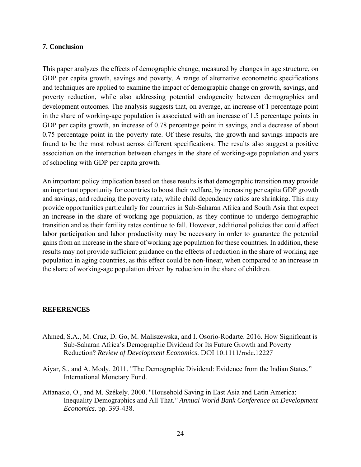#### **7. Conclusion**

This paper analyzes the effects of demographic change, measured by changes in age structure, on GDP per capita growth, savings and poverty. A range of alternative econometric specifications and techniques are applied to examine the impact of demographic change on growth, savings, and poverty reduction, while also addressing potential endogeneity between demographics and development outcomes. The analysis suggests that, on average, an increase of 1 percentage point in the share of working-age population is associated with an increase of 1.5 percentage points in GDP per capita growth, an increase of 0.78 percentage point in savings, and a decrease of about 0.75 percentage point in the poverty rate. Of these results, the growth and savings impacts are found to be the most robust across different specifications. The results also suggest a positive association on the interaction between changes in the share of working-age population and years of schooling with GDP per capita growth.

An important policy implication based on these results is that demographic transition may provide an important opportunity for countries to boost their welfare, by increasing per capita GDP growth and savings, and reducing the poverty rate, while child dependency ratios are shrinking. This may provide opportunities particularly for countries in Sub-Saharan Africa and South Asia that expect an increase in the share of working-age population, as they continue to undergo demographic transition and as their fertility rates continue to fall. However, additional policies that could affect labor participation and labor productivity may be necessary in order to guarantee the potential gains from an increase in the share of working age population for these countries. In addition, these results may not provide sufficient guidance on the effects of reduction in the share of working age population in aging countries, as this effect could be non-linear, when compared to an increase in the share of working-age population driven by reduction in the share of children.

#### **REFERENCES**

- Ahmed, S.A., M. Cruz, D. Go, M. Maliszewska, and I. Osorio-Rodarte. 2016. How Significant is Sub-Saharan Africa's Demographic Dividend for Its Future Growth and Poverty Reduction? *Review of Development Economics*. DOI 10.1111/rode.12227
- Aiyar, S., and A. Mody. 2011. "The Demographic Dividend: Evidence from the Indian States." International Monetary Fund.
- Attanasio, O., and M. Székely. 2000. "Household Saving in East Asia and Latin America: Inequality Demographics and All That*." Annual World Bank Conference on Development Economics*. pp. 393-438.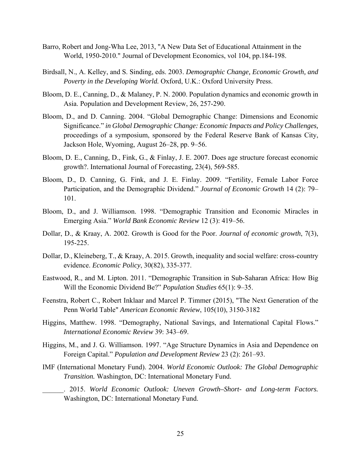- Barro, Robert and Jong-Wha Lee, 2013, "A New Data Set of Educational Attainment in the World, 1950-2010." Journal of Development Economics, vol 104, pp.184-198.
- Birdsall, N., A. Kelley, and S. Sinding, eds. 2003. *Demographic Change, Economic Growth, and Poverty in the Developing World.* Oxford, U.K.: Oxford University Press.
- Bloom, D. E., Canning, D., & Malaney, P. N. 2000. Population dynamics and economic growth in Asia. Population and Development Review, 26, 257-290.
- Bloom, D., and D. Canning. 2004. "Global Demographic Change: Dimensions and Economic Significance." *in Global Demographic Change: Economic Impacts and Policy Challenges,* proceedings of a symposium, sponsored by the Federal Reserve Bank of Kansas City, Jackson Hole, Wyoming, August 26–28, pp. 9–56.
- Bloom, D. E., Canning, D., Fink, G., & Finlay, J. E. 2007. Does age structure forecast economic growth?. International Journal of Forecasting, 23(4), 569-585.
- Bloom, D., D. Canning, G. Fink, and J. E. Finlay. 2009. "Fertility, Female Labor Force Participation, and the Demographic Dividend." *Journal of Economic Growth* 14 (2): 79– 101.
- Bloom, D., and J. Williamson. 1998. "Demographic Transition and Economic Miracles in Emerging Asia." *World Bank Economic Review* 12 (3): 419–56.
- Dollar, D., & Kraay, A. 2002. Growth is Good for the Poor. *Journal of economic growth*, 7(3), 195-225.
- Dollar, D., Kleineberg, T., & Kraay, A. 2015. Growth, inequality and social welfare: cross-country evidence. *Economic Policy*, 30(82), 335-377.
- Eastwood, R., and M. Lipton. 2011. "Demographic Transition in Sub-Saharan Africa: How Big Will the Economic Dividend Be?" *Population Studies* 65(1): 9–35.
- Feenstra, Robert C., Robert Inklaar and Marcel P. Timmer (2015), "The Next Generation of the Penn World Table" *American Economic Review*, 105(10), 3150-3182
- Higgins, Matthew. 1998. "Demography, National Savings, and International Capital Flows." *International Economic Review* 39: 343–69.
- Higgins, M., and J. G. Williamson. 1997. "Age Structure Dynamics in Asia and Dependence on Foreign Capital." *Population and Development Review* 23 (2): 261–93.
- IMF (International Monetary Fund). 2004. *World Economic Outlook: The Global Demographic Transition.* Washington, DC: International Monetary Fund.
	- \_\_\_\_\_\_. 2015. *World Economic Outlook: Uneven Growth–Short- and Long-term Factors.* Washington, DC: International Monetary Fund.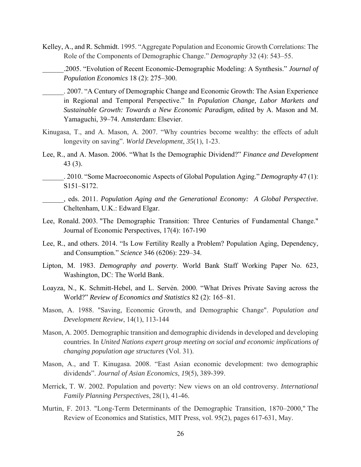- Kelley, A., and R. Schmidt. 1995. "Aggregate Population and Economic Growth Correlations: The Role of the Components of Demographic Change." *Demography* 32 (4): 543–55.
	- \_\_\_\_\_\_.2005. "Evolution of Recent Economic-Demographic Modeling: A Synthesis." *Journal of Population Economics* 18 (2): 275–300.
		- \_\_\_\_\_\_. 2007. "A Century of Demographic Change and Economic Growth: The Asian Experience in Regional and Temporal Perspective." In *Population Change, Labor Markets and Sustainable Growth: Towards a New Economic Paradigm*, edited by A. Mason and M. Yamaguchi, 39–74. Amsterdam: Elsevier.
- Kinugasa, T., and A. Mason, A. 2007. "Why countries become wealthy: the effects of adult longevity on saving". *World Development*, *35*(1), 1-23.
- Lee, R., and A. Mason. 2006. "What Is the Demographic Dividend?" *Finance and Development* 43 (3).
	- \_\_\_\_\_\_. 2010. "Some Macroeconomic Aspects of Global Population Aging." *Demography* 47 (1): S151–S172.
	- \_\_\_\_\_\_, eds. 2011. *Population Aging and the Generational Economy: A Global Perspective.*  Cheltenham, U.K.: Edward Elgar.
- Lee, Ronald. 2003. "The Demographic Transition: Three Centuries of Fundamental Change." Journal of Economic Perspectives, 17(4): 167-190
- Lee, R., and others. 2014. "Is Low Fertility Really a Problem? Population Aging, Dependency, and Consumption." *Science* 346 (6206): 229–34.
- Lipton, M. 1983. *Demography and poverty*. World Bank Staff Working Paper No. 623, Washington, DC: The World Bank.
- Loayza, N., K. Schmitt-Hebel, and L. Servén. 2000. "What Drives Private Saving across the World?" *Review of Economics and Statistics* 82 (2): 165–81.
- Mason, A. 1988. "Saving, Economic Growth, and Demographic Change". *Population and Development Review*, 14(1), 113-144
- Mason, A. 2005. Demographic transition and demographic dividends in developed and developing countries. In *United Nations expert group meeting on social and economic implications of changing population age structures* (Vol. 31).
- Mason, A., and T. Kinugasa. 2008. "East Asian economic development: two demographic dividends". *Journal of Asian Economics*, *19*(5), 389-399.
- Merrick, T. W. 2002. Population and poverty: New views on an old controversy. *International Family Planning Perspectives*, 28(1), 41-46.
- Murtin, F. 2013. "Long-Term Determinants of the Demographic Transition, 1870–2000," The Review of Economics and Statistics, MIT Press, vol. 95(2), pages 617-631, May.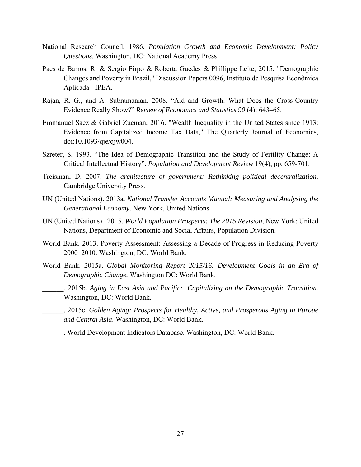- National Research Council, 1986, *Population Growth and Economic Development: Policy Questions*, Washington, DC: National Academy Press
- Paes de Barros, R. & Sergio Firpo & Roberta Guedes & Phillippe Leite, 2015. "Demographic Changes and Poverty in Brazil," Discussion Papers 0096, Instituto de Pesquisa Econômica Aplicada - IPEA.-
- Rajan, R. G., and A. Subramanian. 2008. "Aid and Growth: What Does the Cross-Country Evidence Really Show?" *Review of Economics and Statistics 90* (4): 643–65.
- Emmanuel Saez & Gabriel Zucman, 2016. "Wealth Inequality in the United States since 1913: Evidence from Capitalized Income Tax Data," The Quarterly Journal of Economics, doi:10.1093/qje/qjw004.
- Szreter, S. 1993. "The Idea of Demographic Transition and the Study of Fertility Change: A Critical Intellectual History". *Population and Development Review* 19(4), pp. 659-701.
- Treisman, D. 2007. *The architecture of government: Rethinking political decentralization*. Cambridge University Press.
- UN (United Nations). 2013a. *National Transfer Accounts Manual: Measuring and Analysing the Generational Economy*. New York, United Nations.
- UN (United Nations). 2015. *World Population Prospects: The 2015 Revision,* New York: United Nations, Department of Economic and Social Affairs, Population Division.
- World Bank. 2013. Poverty Assessment: Assessing a Decade of Progress in Reducing Poverty 2000–2010. Washington, DC: World Bank.
- World Bank. 2015a. *Global Monitoring Report 2015/16: Development Goals in an Era of Demographic Change.* Washington DC: World Bank.
- \_\_\_\_\_\_. 2015b. *Aging in East Asia and Pacific: Capitalizing on the Demographic Transition*. Washington, DC: World Bank.
- \_\_\_\_\_\_. 2015c. *Golden Aging: Prospects for Healthy, Active, and Prosperous Aging in Europe and Central Asia*. Washington, DC: World Bank.
- \_\_\_\_\_\_. World Development Indicators Database. Washington, DC: World Bank.